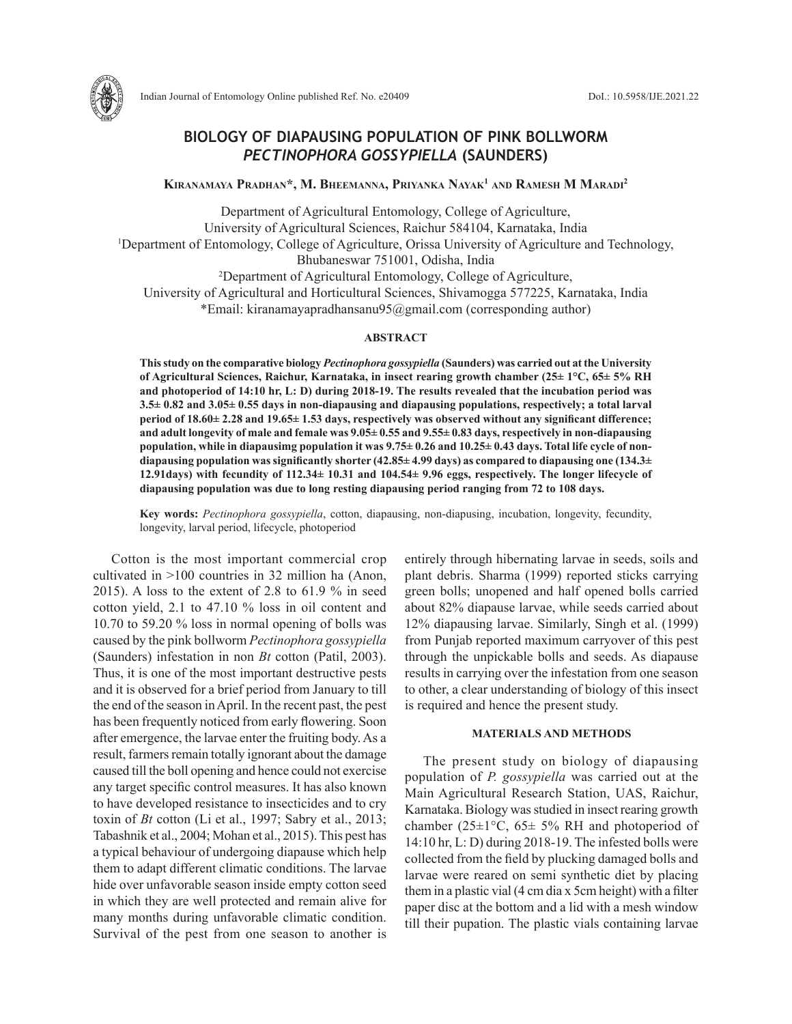

# **BIOLOGY OF DIAPAUSING POPULATION OF PINK BOLLWORM**  *PECTINOPHORA GOSSYPIELLA* **(SAUNDERS)**

**Kiranamaya Pradhan\*, M. Bheemanna, Priyanka Nayak1 and Ramesh M Maradi2**

Department of Agricultural Entomology, College of Agriculture, University of Agricultural Sciences, Raichur 584104, Karnataka, India <sup>1</sup>Department of Entomology, College of Agriculture, Orissa University of Agriculture and Technology, Bhubaneswar 751001, Odisha, India 2 Department of Agricultural Entomology, College of Agriculture, University of Agricultural and Horticultural Sciences, Shivamogga 577225, Karnataka, India \*Email: kiranamayapradhansanu95@gmail.com (corresponding author)

### **ABSTRACT**

**This study on the comparative biology** *Pectinophora gossypiella* **(Saunders) was carried out at the University of Agricultural Sciences, Raichur, Karnataka, in insect rearing growth chamber (25± 1°C, 65± 5% RH and photoperiod of 14:10 hr, L: D) during 2018-19. The results revealed that the incubation period was 3.5± 0.82 and 3.05± 0.55 days in non-diapausing and diapausing populations, respectively; a total larval period of 18.60± 2.28 and 19.65± 1.53 days, respectively was observed without any significant difference; and adult longevity of male and female was 9.05± 0.55 and 9.55± 0.83 days, respectively in non-diapausing population, while in diapausimg population it was 9.75± 0.26 and 10.25± 0.43 days. Total life cycle of nondiapausing population was significantly shorter (42.85± 4.99 days) as compared to diapausing one (134.3± 12.91days) with fecundity of 112.34± 10.31 and 104.54± 9.96 eggs, respectively. The longer lifecycle of diapausing population was due to long resting diapausing period ranging from 72 to 108 days.**

**Key words:** *Pectinophora gossypiella*, cotton, diapausing, non-diapusing, incubation, longevity, fecundity, longevity, larval period, lifecycle, photoperiod

Cotton is the most important commercial crop cultivated in >100 countries in 32 million ha (Anon, 2015). A loss to the extent of 2.8 to 61.9 % in seed cotton yield, 2.1 to 47.10 % loss in oil content and 10.70 to 59.20 % loss in normal opening of bolls was caused by the pink bollworm *Pectinophora gossypiella* (Saunders) infestation in non *Bt* cotton (Patil, 2003). Thus, it is one of the most important destructive pests and it is observed for a brief period from January to till the end of the season in April. In the recent past, the pest has been frequently noticed from early flowering. Soon after emergence, the larvae enter the fruiting body. As a result, farmers remain totally ignorant about the damage caused till the boll opening and hence could not exercise any target specific control measures. It has also known to have developed resistance to insecticides and to cry toxin of *Bt* cotton (Li et al., 1997; Sabry et al., 2013; Tabashnik et al., 2004; Mohan et al., 2015). This pest has a typical behaviour of undergoing diapause which help them to adapt different climatic conditions. The larvae hide over unfavorable season inside empty cotton seed in which they are well protected and remain alive for many months during unfavorable climatic condition. Survival of the pest from one season to another is entirely through hibernating larvae in seeds, soils and plant debris. Sharma (1999) reported sticks carrying green bolls; unopened and half opened bolls carried about 82% diapause larvae, while seeds carried about 12% diapausing larvae. Similarly, Singh et al. (1999) from Punjab reported maximum carryover of this pest through the unpickable bolls and seeds. As diapause results in carrying over the infestation from one season to other, a clear understanding of biology of this insect is required and hence the present study.

## **MATERIALS AND METHODS**

The present study on biology of diapausing population of *P. gossypiella* was carried out at the Main Agricultural Research Station, UAS, Raichur, Karnataka. Biology was studied in insect rearing growth chamber (25 $\pm$ 1°C, 65 $\pm$  5% RH and photoperiod of 14:10 hr, L: D) during 2018-19. The infested bolls were collected from the field by plucking damaged bolls and larvae were reared on semi synthetic diet by placing them in a plastic vial (4 cm dia x 5cm height) with a filter paper disc at the bottom and a lid with a mesh window till their pupation. The plastic vials containing larvae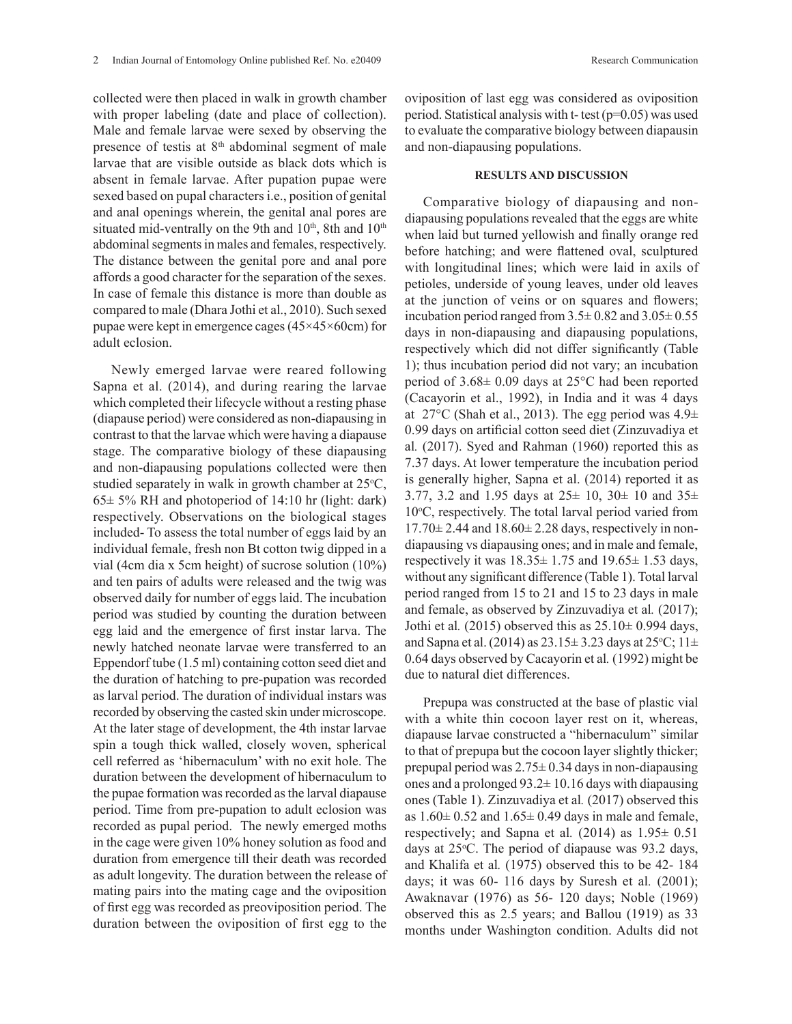collected were then placed in walk in growth chamber with proper labeling (date and place of collection). Male and female larvae were sexed by observing the presence of testis at 8<sup>th</sup> abdominal segment of male larvae that are visible outside as black dots which is absent in female larvae. After pupation pupae were sexed based on pupal characters i.e., position of genital and anal openings wherein, the genital anal pores are situated mid-ventrally on the 9th and 10<sup>th</sup>, 8th and 10<sup>th</sup> abdominal segments in males and females, respectively. The distance between the genital pore and anal pore affords a good character for the separation of the sexes. In case of female this distance is more than double as compared to male (Dhara Jothi et al., 2010). Such sexed pupae were kept in emergence cages (45×45×60cm) for adult eclosion.

Newly emerged larvae were reared following Sapna et al. (2014), and during rearing the larvae which completed their lifecycle without a resting phase (diapause period) were considered as non-diapausing in contrast to that the larvae which were having a diapause stage. The comparative biology of these diapausing and non-diapausing populations collected were then studied separately in walk in growth chamber at  $25^{\circ}C$ ,  $65\pm 5\%$  RH and photoperiod of 14:10 hr (light: dark) respectively. Observations on the biological stages included- To assess the total number of eggs laid by an individual female, fresh non Bt cotton twig dipped in a vial (4cm dia x 5cm height) of sucrose solution (10%) and ten pairs of adults were released and the twig was observed daily for number of eggs laid. The incubation period was studied by counting the duration between egg laid and the emergence of first instar larva. The newly hatched neonate larvae were transferred to an Eppendorf tube (1.5 ml) containing cotton seed diet and the duration of hatching to pre-pupation was recorded as larval period. The duration of individual instars was recorded by observing the casted skin under microscope. At the later stage of development, the 4th instar larvae spin a tough thick walled, closely woven, spherical cell referred as 'hibernaculum' with no exit hole. The duration between the development of hibernaculum to the pupae formation was recorded as the larval diapause period. Time from pre-pupation to adult eclosion was recorded as pupal period. The newly emerged moths in the cage were given 10% honey solution as food and duration from emergence till their death was recorded as adult longevity. The duration between the release of mating pairs into the mating cage and the oviposition of first egg was recorded as preoviposition period. The duration between the oviposition of first egg to the

oviposition of last egg was considered as oviposition period. Statistical analysis with t- test (p=0.05) was used to evaluate the comparative biology between diapausin and non-diapausing populations.

# **RESULTS AND DISCUSSION**

Comparative biology of diapausing and nondiapausing populations revealed that the eggs are white when laid but turned yellowish and finally orange red before hatching; and were flattened oval, sculptured with longitudinal lines; which were laid in axils of petioles, underside of young leaves, under old leaves at the junction of veins or on squares and flowers; incubation period ranged from  $3.5\pm0.82$  and  $3.05\pm0.55$ days in non-diapausing and diapausing populations, respectively which did not differ significantly (Table 1); thus incubation period did not vary; an incubation period of 3.68± 0.09 days at 25°C had been reported (Cacayorin et al., 1992), in India and it was 4 days at  $27^{\circ}$ C (Shah et al., 2013). The egg period was  $4.9\pm$ 0.99 days on artificial cotton seed diet (Zinzuvadiya et al*.* (2017). Syed and Rahman (1960) reported this as 7.37 days. At lower temperature the incubation period is generally higher, Sapna et al. (2014) reported it as 3.77, 3.2 and 1.95 days at  $25 \pm 10$ ,  $30 \pm 10$  and  $35 \pm 10$ 10°C, respectively. The total larval period varied from  $17.70\pm 2.44$  and  $18.60\pm 2.28$  days, respectively in nondiapausing vs diapausing ones; and in male and female, respectively it was  $18.35 \pm 1.75$  and  $19.65 \pm 1.53$  days, without any significant difference (Table 1). Total larval period ranged from 15 to 21 and 15 to 23 days in male and female, as observed by Zinzuvadiya et al*.* (2017); Jothi et al*.* (2015) observed this as 25.10± 0.994 days, and Sapna et al. (2014) as  $23.15 \pm 3.23$  days at  $25^{\circ}$ C;  $11 \pm 1.5$ 0.64 days observed by Cacayorin et al*.* (1992) might be due to natural diet differences.

Prepupa was constructed at the base of plastic vial with a white thin cocoon layer rest on it, whereas, diapause larvae constructed a "hibernaculum" similar to that of prepupa but the cocoon layer slightly thicker; prepupal period was  $2.75 \pm 0.34$  days in non-diapausing ones and a prolonged  $93.2 \pm 10.16$  days with diapausing ones (Table 1). Zinzuvadiya et al*.* (2017) observed this as  $1.60 \pm 0.52$  and  $1.65 \pm 0.49$  days in male and female, respectively; and Sapna et al.  $(2014)$  as  $1.95 \pm 0.51$ days at  $25^{\circ}$ C. The period of diapause was 93.2 days, and Khalifa et al*.* (1975) observed this to be 42- 184 days; it was 60- 116 days by Suresh et al*.* (2001); Awaknavar (1976) as 56- 120 days; Noble (1969) observed this as 2.5 years; and Ballou (1919) as 33 months under Washington condition. Adults did not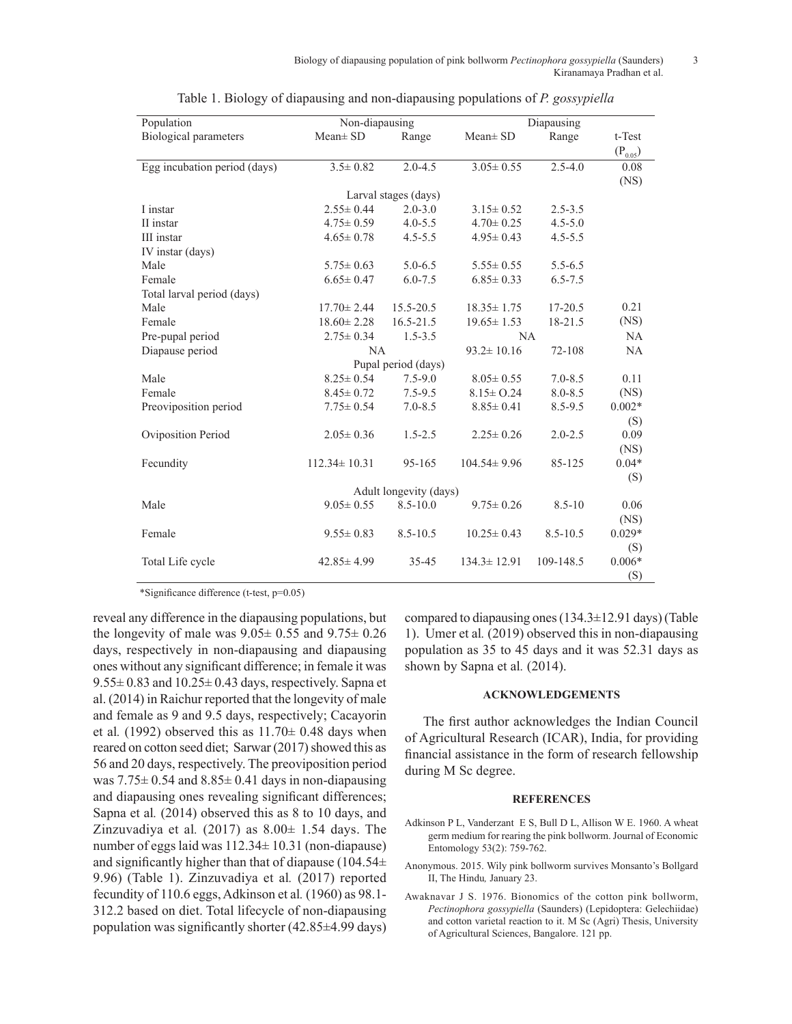| Population                   | Non-diapausing     |               | Diapausing        |              |              |
|------------------------------|--------------------|---------------|-------------------|--------------|--------------|
| <b>Biological parameters</b> | $Mean \pm SD$      | Range         | $Mean \pm SD$     | Range        | t-Test       |
|                              |                    |               |                   |              | $(P_{0.05})$ |
| Egg incubation period (days) | $3.5 \pm 0.82$     | $2.0 - 4.5$   | $3.05 \pm 0.55$   | $2.5 - 4.0$  | 0.08         |
|                              |                    |               |                   |              | (NS)         |
| Larval stages (days)         |                    |               |                   |              |              |
| I instar                     | $2.55 \pm 0.44$    | $2.0 - 3.0$   | $3.15 \pm 0.52$   | $2.5 - 3.5$  |              |
| II instar                    | $4.75 \pm 0.59$    | $4.0 - 5.5$   | $4.70 \pm 0.25$   | $4.5 - 5.0$  |              |
| III instar                   | $4.65 \pm 0.78$    | $4.5 - 5.5$   | $4.95 \pm 0.43$   | $4.5 - 5.5$  |              |
| IV instar (days)             |                    |               |                   |              |              |
| Male                         | $5.75 \pm 0.63$    | $5.0 - 6.5$   | $5.55 \pm 0.55$   | $5.5 - 6.5$  |              |
| Female                       | $6.65 \pm 0.47$    | $6.0 - 7.5$   | $6.85 \pm 0.33$   | $6.5 - 7.5$  |              |
| Total larval period (days)   |                    |               |                   |              |              |
| Male                         | $17.70 \pm 2.44$   | $15.5 - 20.5$ | $18.35 \pm 1.75$  | $17 - 20.5$  | 0.21         |
| Female                       | $18.60 \pm 2.28$   | $16.5 - 21.5$ | $19.65 \pm 1.53$  | 18-21.5      | (NS)         |
| Pre-pupal period             | $2.75 \pm 0.34$    | $1.5 - 3.5$   | NA.               |              | NA           |
| Diapause period              | NA                 |               | $93.2 \pm 10.16$  | 72-108       | NA           |
| Pupal period (days)          |                    |               |                   |              |              |
| Male                         | $8.25 \pm 0.54$    | $7.5 - 9.0$   | $8.05 \pm 0.55$   | $7.0 - 8.5$  | 0.11         |
| Female                       | $8.45 \pm 0.72$    | $7.5 - 9.5$   | $8.15 \pm 0.24$   | $8.0 - 8.5$  | (NS)         |
| Preoviposition period        | $7.75 \pm 0.54$    | $7.0 - 8.5$   | $8.85 \pm 0.41$   | $8.5 - 9.5$  | $0.002*$     |
|                              |                    |               |                   |              | (S)          |
| Oviposition Period           | $2.05 \pm 0.36$    | $1.5 - 2.5$   | $2.25 \pm 0.26$   | $2.0 - 2.5$  | 0.09         |
|                              |                    |               |                   |              | (NS)         |
| Fecundity                    | $112.34 \pm 10.31$ | 95-165        | $104.54 \pm 9.96$ | 85-125       | $0.04*$      |
|                              |                    |               |                   |              | (S)          |
| Adult longevity (days)       |                    |               |                   |              |              |
| Male                         | $9.05 \pm 0.55$    | $8.5 - 10.0$  | $9.75 \pm 0.26$   | $8.5 - 10$   | 0.06         |
|                              |                    |               |                   |              | (NS)         |
| Female                       | $9.55 \pm 0.83$    | $8.5 - 10.5$  | $10.25 \pm 0.43$  | $8.5 - 10.5$ | $0.029*$     |
|                              |                    |               |                   |              | (S)          |
| Total Life cycle             | $42.85 \pm 4.99$   | $35 - 45$     | $134.3 \pm 12.91$ | 109-148.5    | $0.006*$     |
|                              |                    |               |                   |              | (S)          |

Table 1. Biology of diapausing and non-diapausing populations of *P. gossypiella*

\*Significance difference (t-test, p=0.05)

reveal any difference in the diapausing populations, but the longevity of male was  $9.05 \pm 0.55$  and  $9.75 \pm 0.26$ days, respectively in non-diapausing and diapausing ones without any significant difference; in female it was  $9.55\pm0.83$  and  $10.25\pm0.43$  days, respectively. Sapna et al. (2014) in Raichur reported that the longevity of male and female as 9 and 9.5 days, respectively; Cacayorin et al.  $(1992)$  observed this as  $11.70 \pm 0.48$  days when reared on cotton seed diet; Sarwar (2017) showed this as 56 and 20 days, respectively. The preoviposition period was  $7.75\pm 0.54$  and  $8.85\pm 0.41$  days in non-diapausing and diapausing ones revealing significant differences; Sapna et al*.* (2014) observed this as 8 to 10 days, and Zinzuvadiya et al.  $(2017)$  as  $8.00 \pm 1.54$  days. The number of eggs laid was 112.34± 10.31 (non-diapause) and significantly higher than that of diapause (104.54 $\pm$ 9.96) (Table 1). Zinzuvadiya et al*.* (2017) reported fecundity of 110.6 eggs, Adkinson et al*.* (1960) as 98.1- 312.2 based on diet. Total lifecycle of non-diapausing population was significantly shorter (42.85±4.99 days)

compared to diapausing ones (134.3±12.91 days) (Table 1). Umer et al*.* (2019) observed this in non-diapausing population as 35 to 45 days and it was 52.31 days as shown by Sapna et al*.* (2014).

# **ACKNOWLEDGEMENTS**

The first author acknowledges the Indian Council of Agricultural Research (ICAR), India, for providing financial assistance in the form of research fellowship during M Sc degree.

#### **REFERENCES**

- Adkinson P L, Vanderzant E S, Bull D L, Allison W E. 1960. A wheat germ medium for rearing the pink bollworm. Journal of Economic Entomology 53(2): 759-762.
- Anonymous. 2015. Wily pink bollworm survives Monsanto's Bollgard II, The Hindu*,* January 23.
- Awaknavar J S. 1976. Bionomics of the cotton pink bollworm, *Pectinophora gossypiella* (Saunders) (Lepidoptera: Gelechiidae) and cotton varietal reaction to it. M Sc (Agri) Thesis, University of Agricultural Sciences, Bangalore. 121 pp.